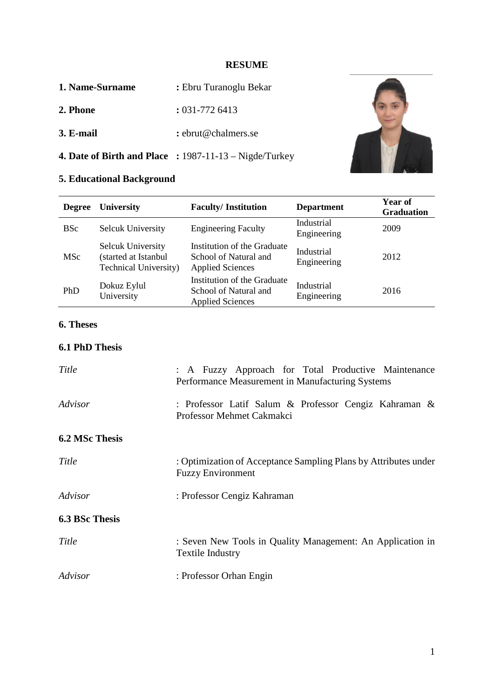#### **RESUME**

| 1. Name-Surname | : Ebru Turanoglu Bekar |
|-----------------|------------------------|
|-----------------|------------------------|

- 2. Phone **2. Phone :** 031-772 6413
- **3. E-mail :** ebrut@chalmers.se
- **4. Date of Birth and Place :** 1987-11-13 Nigde/Turkey

# **5. Educational Background**

| <b>Degree</b> | <b>University</b>                                                                | <b>Faculty/Institution</b>                                                      | <b>Department</b>         | Year of<br><b>Graduation</b> |
|---------------|----------------------------------------------------------------------------------|---------------------------------------------------------------------------------|---------------------------|------------------------------|
| <b>BSc</b>    | <b>Selcuk University</b>                                                         | <b>Engineering Faculty</b>                                                      | Industrial<br>Engineering | 2009                         |
| MSc           | <b>Selcuk University</b><br>(started at Istanbul<br><b>Technical University)</b> | Institution of the Graduate<br>School of Natural and<br><b>Applied Sciences</b> | Industrial<br>Engineering | 2012                         |
| PhD           | Dokuz Eylul<br>University                                                        | Institution of the Graduate<br>School of Natural and<br><b>Applied Sciences</b> | Industrial<br>Engineering | 2016                         |

# **6. Theses**

# **6.1 PhD Thesis**

| Title                 | : A Fuzzy Approach for Total Productive Maintenance<br>Performance Measurement in Manufacturing Systems |  |
|-----------------------|---------------------------------------------------------------------------------------------------------|--|
| Advisor               | : Professor Latif Salum & Professor Cengiz Kahraman &<br>Professor Mehmet Cakmakci                      |  |
| <b>6.2 MSc Thesis</b> |                                                                                                         |  |
| Title                 | : Optimization of Acceptance Sampling Plans by Attributes under<br><b>Fuzzy Environment</b>             |  |
| Advisor               | : Professor Cengiz Kahraman                                                                             |  |
| <b>6.3 BSc Thesis</b> |                                                                                                         |  |
| Title                 | : Seven New Tools in Quality Management: An Application in<br><b>Textile Industry</b>                   |  |
| Advisor               | : Professor Orhan Engin                                                                                 |  |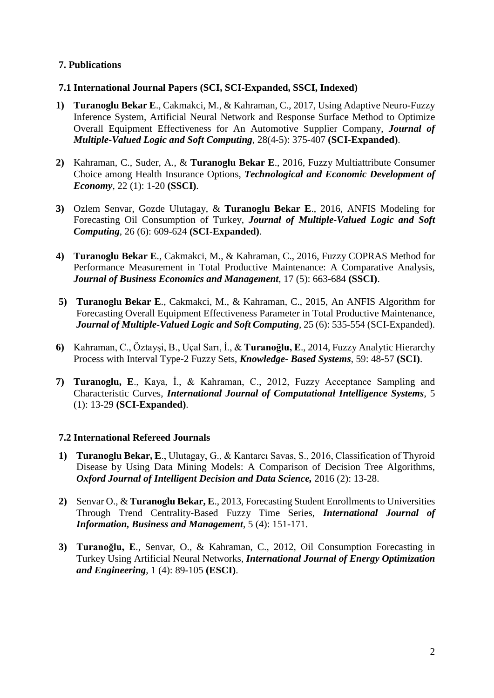# **7. Publications**

## **7.1 International Journal Papers (SCI, SCI-Expanded, SSCI, Indexed)**

- **1) Turanoglu Bekar E**., Cakmakci, M., & Kahraman, C., 2017, Using Adaptive Neuro-Fuzzy Inference System, Artificial Neural Network and Response Surface Method to Optimize Overall Equipment Effectiveness for An Automotive Supplier Company, *Journal of Multiple-Valued Logic and Soft Computing*, 28(4-5): 375-407 **(SCI-Expanded)**.
- **2)** Kahraman, C., Suder, A., & **Turanoglu Bekar E**., 2016, Fuzzy Multiattribute Consumer Choice among Health Insurance Options, *Technological and Economic Development of Economy*, 22 (1): 1-20 **(SSCI)**.
- **3)** Ozlem Senvar, Gozde Ulutagay, & **Turanoglu Bekar E**., 2016, ANFIS Modeling for Forecasting Oil Consumption of Turkey, *Journal of Multiple-Valued Logic and Soft Computing*, 26 (6): 609-624 **(SCI-Expanded)**.
- **4) Turanoglu Bekar E**., Cakmakci, M., & Kahraman, C., 2016, Fuzzy COPRAS Method for Performance Measurement in Total Productive Maintenance: A Comparative Analysis, *Journal of Business Economics and Management*, 17 (5): 663-684 **(SSCI)**.
- **5) Turanoglu Bekar E**., Cakmakci, M., & Kahraman, C., 2015, An ANFIS Algorithm for Forecasting Overall Equipment Effectiveness Parameter in Total Productive Maintenance, *Journal of Multiple-Valued Logic and Soft Computing*, 25 (6): 535-554 (SCI-Expanded).
- **6)** Kahraman, C., Öztayşi, B., Uçal Sarı, İ., & **Turanoğlu, E**., 2014, Fuzzy Analytic Hierarchy Process with Interval Type-2 Fuzzy Sets, *Knowledge- Based Systems*, 59: 48-57 **(SCI)**.
- **7) Turanoglu, E**., Kaya, İ., & Kahraman, C., 2012, Fuzzy Acceptance Sampling and Characteristic Curves, *International Journal of Computational Intelligence Systems*, 5 (1): 13-29 **(SCI-Expanded)**.

# **7.2 International Refereed Journals**

- **1) Turanoglu Bekar, E**., Ulutagay, G., & Kantarcı Savas, S., 2016, Classification of Thyroid Disease by Using Data Mining Models: A Comparison of Decision Tree Algorithms, *Oxford Journal of Intelligent Decision and Data Science,* 2016 (2): 13-28.
- **2)** Senvar O., & **Turanoglu Bekar, E**., 2013, Forecasting Student Enrollments to Universities Through Trend Centrality-Based Fuzzy Time Series, *International Journal of Information, Business and Management*, 5 (4): 151-171.
- **3) Turanoğlu, E**., Senvar, O., & Kahraman, C., 2012, Oil Consumption Forecasting in Turkey Using Artificial Neural Networks, *International Journal of Energy Optimization and Engineering*, 1 (4): 89-105 **(ESCI)**.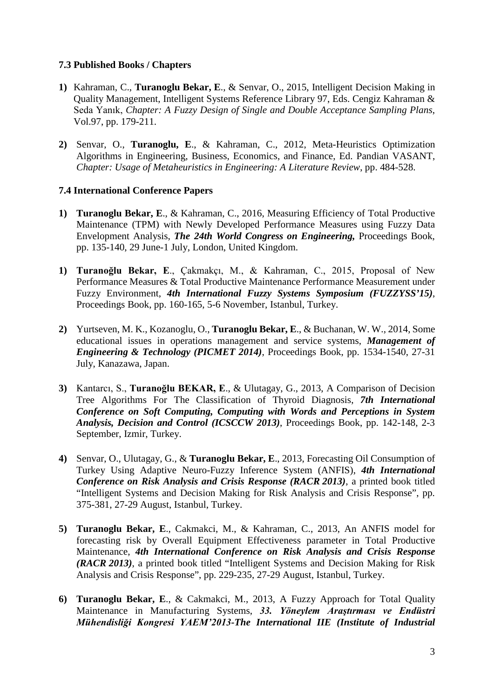## **7.3 Published Books / Chapters**

- **1)** Kahraman, C., **Turanoglu Bekar, E**., & Senvar, O., 2015, Intelligent Decision Making in Quality Management, Intelligent Systems Reference Library 97, Eds. Cengiz Kahraman & Seda Yanık, *Chapter: A Fuzzy Design of Single and Double Acceptance Sampling Plans*, Vol.97, pp. 179-211.
- **2)** Senvar, O., **Turanoglu, E**., & Kahraman, C., 2012, Meta-Heuristics Optimization Algorithms in Engineering, Business, Economics, and Finance, Ed. Pandian VASANT, *Chapter: Usage of Metaheuristics in Engineering: A Literature Review*, pp. 484-528.

# **7.4 International Conference Papers**

- **1) Turanoglu Bekar, E**., & Kahraman, C., 2016, Measuring Efficiency of Total Productive Maintenance (TPM) with Newly Developed Performance Measures using Fuzzy Data Envelopment Analysis, *The 24th World Congress on Engineering,* Proceedings Book, pp. 135-140, 29 June-1 July, London, United Kingdom.
- **1) Turanoğlu Bekar, E**., Çakmakçı, M., & Kahraman, C., 2015, Proposal of New Performance Measures & Total Productive Maintenance Performance Measurement under Fuzzy Environment, *4th International Fuzzy Systems Symposium (FUZZYSS'15)*, Proceedings Book, pp. 160-165, 5-6 November, Istanbul, Turkey.
- **2)** Yurtseven, M. K., Kozanoglu, O., **Turanoglu Bekar, E**., & Buchanan, W. W., 2014, Some educational issues in operations management and service systems, *Management of Engineering & Technology (PICMET 2014)*, Proceedings Book, pp. 1534-1540, 27-31 July, Kanazawa, Japan.
- **3)** Kantarcı, S., **Turanoğlu BEKAR, E**., & Ulutagay, G., 2013, A Comparison of Decision Tree Algorithms For The Classification of Thyroid Diagnosis, *7th International Conference on Soft Computing, Computing with Words and Perceptions in System Analysis, Decision and Control (ICSCCW 2013)*, Proceedings Book, pp. 142-148, 2-3 September, Izmir, Turkey.
- **4)** Senvar, O., Ulutagay, G., & **Turanoglu Bekar, E**., 2013, Forecasting Oil Consumption of Turkey Using Adaptive Neuro-Fuzzy Inference System (ANFIS), *4th International Conference on Risk Analysis and Crisis Response (RACR 2013)*, a printed book titled "Intelligent Systems and Decision Making for Risk Analysis and Crisis Response", pp. 375-381, 27-29 August, Istanbul, Turkey.
- **5) Turanoglu Bekar, E**., Cakmakci, M., & Kahraman, C., 2013, An ANFIS model for forecasting risk by Overall Equipment Effectiveness parameter in Total Productive Maintenance, *4th International Conference on Risk Analysis and Crisis Response (RACR 2013)*, a printed book titled "Intelligent Systems and Decision Making for Risk Analysis and Crisis Response", pp. 229-235, 27-29 August, Istanbul, Turkey.
- **6) Turanoglu Bekar, E**., & Cakmakci, M., 2013, A Fuzzy Approach for Total Quality Maintenance in Manufacturing Systems, *33. Yöneylem Araştırması ve Endüstri Mühendisliği Kongresi YAEM'2013-The International IIE (Institute of Industrial*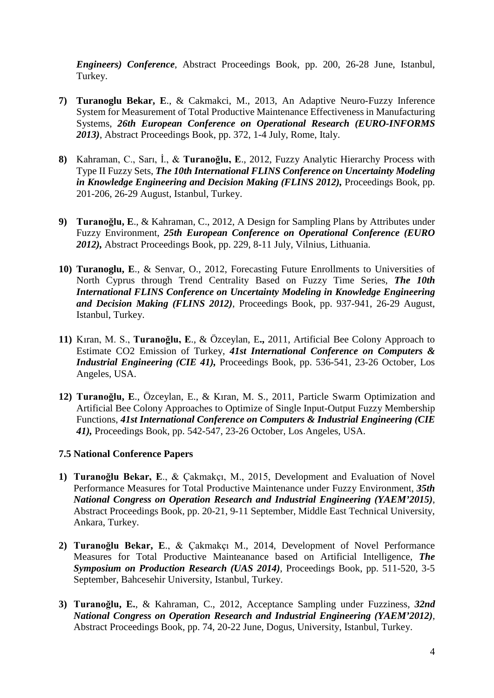*Engineers) Conference*, Abstract Proceedings Book, pp. 200, 26-28 June, Istanbul, Turkey.

- **7) Turanoglu Bekar, E**., & Cakmakci, M., 2013, An Adaptive Neuro-Fuzzy Inference System for Measurement of Total Productive Maintenance Effectiveness in Manufacturing Systems, *26th European Conference on Operational Research (EURO-INFORMS 2013)*, Abstract Proceedings Book, pp. 372, 1-4 July, Rome, Italy.
- **8)** Kahraman, C., Sarı, İ., & **Turanoğlu, E**., 2012, Fuzzy Analytic Hierarchy Process with Type II Fuzzy Sets, *The 10th International FLINS Conference on Uncertainty Modeling in Knowledge Engineering and Decision Making (FLINS 2012)*, Proceedings Book, pp. 201-206, 26-29 August, Istanbul, Turkey.
- **9) Turanoğlu, E**., & Kahraman, C., 2012, A Design for Sampling Plans by Attributes under Fuzzy Environment, *25th European Conference on Operational Conference (EURO 2012),* Abstract Proceedings Book, pp. 229, 8-11 July, Vilnius, Lithuania.
- **10) Turanoglu, E**., & Senvar, O., 2012, Forecasting Future Enrollments to Universities of North Cyprus through Trend Centrality Based on Fuzzy Time Series, *The 10th International FLINS Conference on Uncertainty Modeling in Knowledge Engineering and Decision Making (FLINS 2012)*, Proceedings Book, pp. 937-941, 26-29 August, Istanbul, Turkey.
- **11)** Kıran, M. S., **Turanoğlu, E**., & Özceylan, E**.,** 2011, Artificial Bee Colony Approach to Estimate CO2 Emission of Turkey, *41st International Conference on Computers & Industrial Engineering (CIE 41),* Proceedings Book, pp. 536-541, 23-26 October, Los Angeles, USA.
- **12) Turanoğlu, E**., Özceylan, E., & Kıran, M. S., 2011, Particle Swarm Optimization and Artificial Bee Colony Approaches to Optimize of Single Input-Output Fuzzy Membership Functions, *41st International Conference on Computers & Industrial Engineering (CIE 41),* Proceedings Book, pp. 542-547, 23-26 October, Los Angeles, USA.

### **7.5 National Conference Papers**

- **1) Turanoğlu Bekar, E**., & Çakmakçı, M., 2015, Development and Evaluation of Novel Performance Measures for Total Productive Maintenance under Fuzzy Environment, *35th National Congress on Operation Research and Industrial Engineering (YAEM'2015)*, Abstract Proceedings Book, pp. 20-21, 9-11 September, Middle East Technical University, Ankara, Turkey.
- **2) Turanoğlu Bekar, E**., & Çakmakçı M., 2014, Development of Novel Performance Measures for Total Productive Mainteanance based on Artificial Intelligence, *The Symposium on Production Research (UAS 2014)*, Proceedings Book, pp. 511-520, 3-5 September, Bahcesehir University, Istanbul, Turkey.
- **3) Turanoğlu, E.**, & Kahraman, C., 2012, Acceptance Sampling under Fuzziness, *32nd National Congress on Operation Research and Industrial Engineering (YAEM'2012)*, Abstract Proceedings Book, pp. 74, 20-22 June, Dogus, University, Istanbul, Turkey.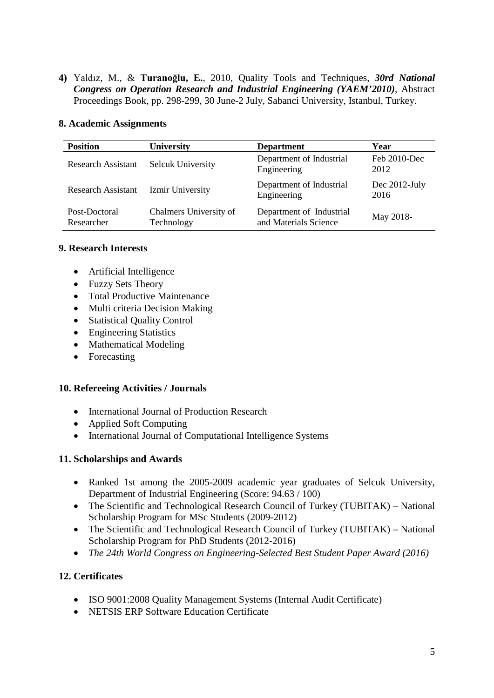**4)** Yaldız, M., & **Turanoğlu, E.**, 2010, Quality Tools and Techniques, *30rd National Congress on Operation Research and Industrial Engineering (YAEM'2010)*, Abstract Proceedings Book, pp. 298-299, 30 June-2 July, Sabanci University, Istanbul, Turkey.

#### **8. Academic Assignments**

| <b>Position</b>             | <b>University</b>                    | <b>Department</b>                                 | Year                  |
|-----------------------------|--------------------------------------|---------------------------------------------------|-----------------------|
| <b>Research Assistant</b>   | <b>Selcuk University</b>             | Department of Industrial<br>Engineering           | Feb 2010-Dec<br>2012  |
| <b>Research Assistant</b>   | Izmir University                     | Department of Industrial<br>Engineering           | Dec 2012-July<br>2016 |
| Post-Doctoral<br>Researcher | Chalmers University of<br>Technology | Department of Industrial<br>and Materials Science | May 2018-             |

#### **9. Research Interests**

- Artificial Intelligence
- Fuzzy Sets Theory
- Total Productive Maintenance
- Multi criteria Decision Making
- Statistical Quality Control
- Engineering Statistics
- Mathematical Modeling
- Forecasting

#### **10. Refereeing Activities / Journals**

- International Journal of Production Research
- Applied Soft Computing
- International Journal of Computational Intelligence Systems

### **11. Scholarships and Awards**

- Ranked 1st among the 2005-2009 academic year graduates of Selcuk University, Department of Industrial Engineering (Score: 94.63 / 100)
- The Scientific and Technological Research Council of Turkey (TUBITAK) National Scholarship Program for MSc Students (2009-2012)
- The Scientific and Technological Research Council of Turkey (TUBITAK) National Scholarship Program for PhD Students (2012-2016)
- *The 24th World Congress on Engineering-Selected Best Student Paper Award (2016)*

### **12. Certificates**

- ISO 9001:2008 Quality Management Systems (Internal Audit Certificate)
- NETSIS ERP Software Education Certificate